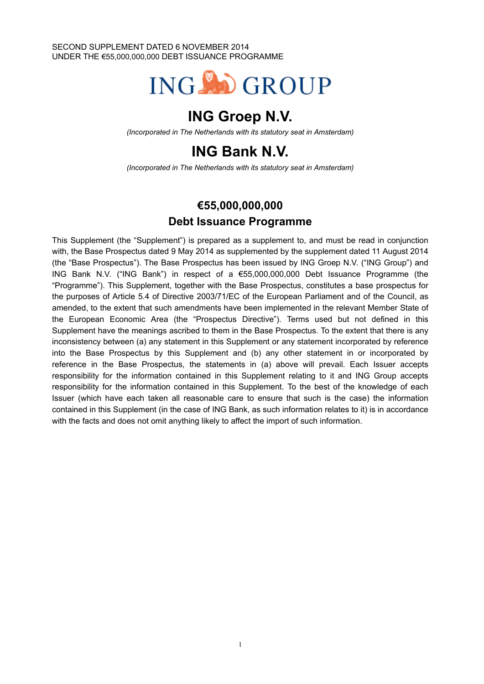SECOND SUPPLEMENT DATED 6 NOVEMBER 2014 UNDER THE €55,000,000,000 DEBT ISSUANCE PROGRAMME



# **ING Groep N.V.**

*(Incorporated in The Netherlands with its statutory seat in Amsterdam)*

# **ING Bank N.V.**

*(Incorporated in The Netherlands with its statutory seat in Amsterdam)*

## **€55,000,000,000 Debt Issuance Programme**

This Supplement (the "Supplement") is prepared as a supplement to, and must be read in conjunction with, the Base Prospectus dated 9 May 2014 as supplemented by the supplement dated 11 August 2014 (the "Base Prospectus"). The Base Prospectus has been issued by ING Groep N.V. ("ING Group") and ING Bank N.V. ("ING Bank") in respect of a €55,000,000,000 Debt Issuance Programme (the "Programme"). This Supplement, together with the Base Prospectus, constitutes a base prospectus for the purposes of Article 5.4 of Directive 2003/71/EC of the European Parliament and of the Council, as amended, to the extent that such amendments have been implemented in the relevant Member State of the European Economic Area (the "Prospectus Directive"). Terms used but not defined in this Supplement have the meanings ascribed to them in the Base Prospectus. To the extent that there is any inconsistency between (a) any statement in this Supplement or any statement incorporated by reference into the Base Prospectus by this Supplement and (b) any other statement in or incorporated by reference in the Base Prospectus, the statements in (a) above will prevail. Each Issuer accepts responsibility for the information contained in this Supplement relating to it and ING Group accepts responsibility for the information contained in this Supplement. To the best of the knowledge of each Issuer (which have each taken all reasonable care to ensure that such is the case) the information contained in this Supplement (in the case of ING Bank, as such information relates to it) is in accordance with the facts and does not omit anything likely to affect the import of such information.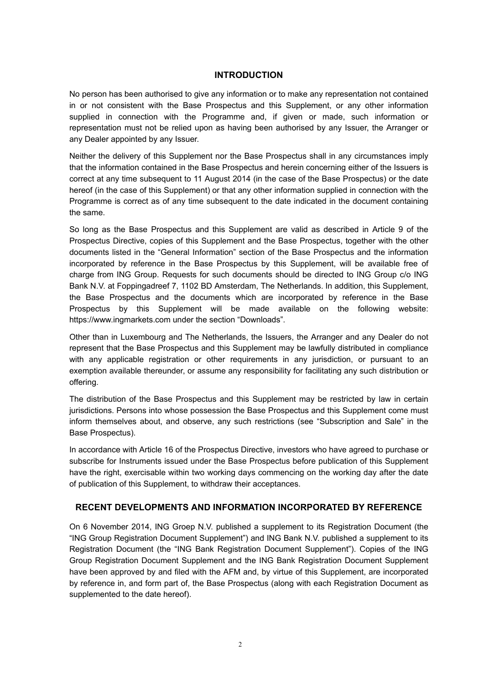### **INTRODUCTION**

No person has been authorised to give any information or to make any representation not contained in or not consistent with the Base Prospectus and this Supplement, or any other information supplied in connection with the Programme and, if given or made, such information or representation must not be relied upon as having been authorised by any Issuer, the Arranger or any Dealer appointed by any Issuer.

Neither the delivery of this Supplement nor the Base Prospectus shall in any circumstances imply that the information contained in the Base Prospectus and herein concerning either of the Issuers is correct at any time subsequent to 11 August 2014 (in the case of the Base Prospectus) or the date hereof (in the case of this Supplement) or that any other information supplied in connection with the Programme is correct as of any time subsequent to the date indicated in the document containing the same.

So long as the Base Prospectus and this Supplement are valid as described in Article 9 of the Prospectus Directive, copies of this Supplement and the Base Prospectus, together with the other documents listed in the "General Information" section of the Base Prospectus and the information incorporated by reference in the Base Prospectus by this Supplement, will be available free of charge from ING Group. Requests for such documents should be directed to ING Group c/o ING Bank N.V. at Foppingadreef 7, 1102 BD Amsterdam, The Netherlands. In addition, this Supplement, the Base Prospectus and the documents which are incorporated by reference in the Base Prospectus by this Supplement will be made available on the following website: https://www.ingmarkets.com under the section "Downloads".

Other than in Luxembourg and The Netherlands, the Issuers, the Arranger and any Dealer do not represent that the Base Prospectus and this Supplement may be lawfully distributed in compliance with any applicable registration or other requirements in any jurisdiction, or pursuant to an exemption available thereunder, or assume any responsibility for facilitating any such distribution or offering.

The distribution of the Base Prospectus and this Supplement may be restricted by law in certain jurisdictions. Persons into whose possession the Base Prospectus and this Supplement come must inform themselves about, and observe, any such restrictions (see "Subscription and Sale" in the Base Prospectus).

In accordance with Article 16 of the Prospectus Directive, investors who have agreed to purchase or subscribe for Instruments issued under the Base Prospectus before publication of this Supplement have the right, exercisable within two working days commencing on the working day after the date of publication of this Supplement, to withdraw their acceptances.

### **RECENT DEVELOPMENTS AND INFORMATION INCORPORATED BY REFERENCE**

On 6 November 2014, ING Groep N.V. published a supplement to its Registration Document (the "ING Group Registration Document Supplement") and ING Bank N.V. published a supplement to its Registration Document (the "ING Bank Registration Document Supplement"). Copies of the ING Group Registration Document Supplement and the ING Bank Registration Document Supplement have been approved by and filed with the AFM and, by virtue of this Supplement, are incorporated by reference in, and form part of, the Base Prospectus (along with each Registration Document as supplemented to the date hereof).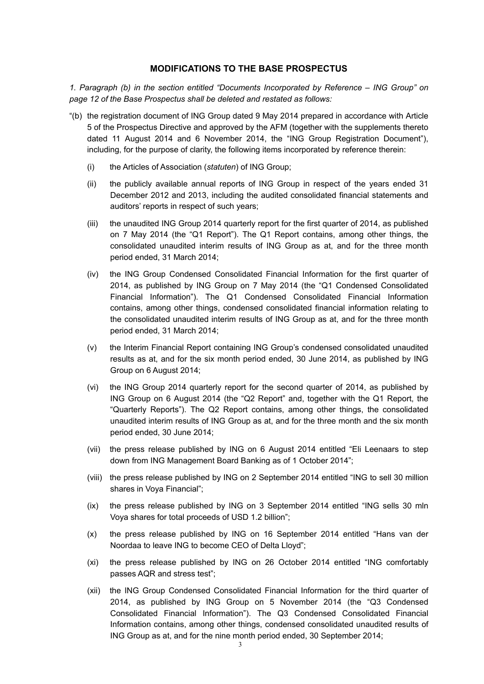### **MODIFICATIONS TO THE BASE PROSPECTUS**

*1. Paragraph (b) in the section entitled "Documents Incorporated by Reference – ING Group" on page 12 of the Base Prospectus shall be deleted and restated as follows:* 

- "(b) the registration document of ING Group dated 9 May 2014 prepared in accordance with Article 5 of the Prospectus Directive and approved by the AFM (together with the supplements thereto dated 11 August 2014 and 6 November 2014, the "ING Group Registration Document"), including, for the purpose of clarity, the following items incorporated by reference therein:
	- (i) the Articles of Association (*statuten*) of ING Group;
	- (ii) the publicly available annual reports of ING Group in respect of the years ended 31 December 2012 and 2013, including the audited consolidated financial statements and auditors' reports in respect of such years;
	- (iii) the unaudited ING Group 2014 quarterly report for the first quarter of 2014, as published on 7 May 2014 (the "Q1 Report"). The Q1 Report contains, among other things, the consolidated unaudited interim results of ING Group as at, and for the three month period ended, 31 March 2014;
	- (iv) the ING Group Condensed Consolidated Financial Information for the first quarter of 2014, as published by ING Group on 7 May 2014 (the "Q1 Condensed Consolidated Financial Information"). The Q1 Condensed Consolidated Financial Information contains, among other things, condensed consolidated financial information relating to the consolidated unaudited interim results of ING Group as at, and for the three month period ended, 31 March 2014;
	- (v) the Interim Financial Report containing ING Group's condensed consolidated unaudited results as at, and for the six month period ended, 30 June 2014, as published by ING Group on 6 August 2014;
	- (vi) the ING Group 2014 quarterly report for the second quarter of 2014, as published by ING Group on 6 August 2014 (the "Q2 Report" and, together with the Q1 Report, the "Quarterly Reports"). The Q2 Report contains, among other things, the consolidated unaudited interim results of ING Group as at, and for the three month and the six month period ended, 30 June 2014;
	- (vii) the press release published by ING on 6 August 2014 entitled "Eli Leenaars to step down from ING Management Board Banking as of 1 October 2014";
	- (viii) the press release published by ING on 2 September 2014 entitled "ING to sell 30 million shares in Voya Financial";
	- (ix) the press release published by ING on 3 September 2014 entitled "ING sells 30 mln Voya shares for total proceeds of USD 1.2 billion";
	- (x) the press release published by ING on 16 September 2014 entitled "Hans van der Noordaa to leave ING to become CEO of Delta Lloyd";
	- (xi) the press release published by ING on 26 October 2014 entitled "ING comfortably passes AQR and stress test";
	- (xii) the ING Group Condensed Consolidated Financial Information for the third quarter of 2014, as published by ING Group on 5 November 2014 (the "Q3 Condensed Consolidated Financial Information"). The Q3 Condensed Consolidated Financial Information contains, among other things, condensed consolidated unaudited results of ING Group as at, and for the nine month period ended, 30 September 2014;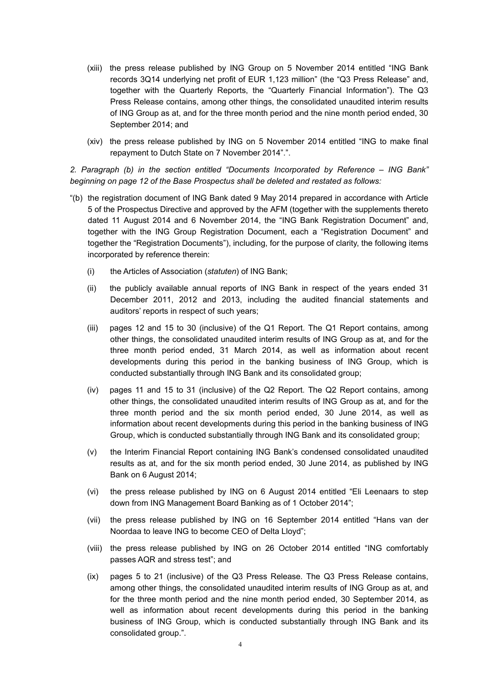- (xiii) the press release published by ING Group on 5 November 2014 entitled "ING Bank records 3Q14 underlying net profit of EUR 1,123 million" (the "Q3 Press Release" and, together with the Quarterly Reports, the "Quarterly Financial Information"). The Q3 Press Release contains, among other things, the consolidated unaudited interim results of ING Group as at, and for the three month period and the nine month period ended, 30 September 2014; and
- (xiv) the press release published by ING on 5 November 2014 entitled "ING to make final repayment to Dutch State on 7 November 2014".".

*2. Paragraph (b) in the section entitled "Documents Incorporated by Reference – ING Bank" beginning on page 12 of the Base Prospectus shall be deleted and restated as follows:*

- "(b) the registration document of ING Bank dated 9 May 2014 prepared in accordance with Article 5 of the Prospectus Directive and approved by the AFM (together with the supplements thereto dated 11 August 2014 and 6 November 2014, the "ING Bank Registration Document" and, together with the ING Group Registration Document, each a "Registration Document" and together the "Registration Documents"), including, for the purpose of clarity, the following items incorporated by reference therein:
	- (i) the Articles of Association (*statuten*) of ING Bank;
	- (ii) the publicly available annual reports of ING Bank in respect of the years ended 31 December 2011, 2012 and 2013, including the audited financial statements and auditors' reports in respect of such years;
	- (iii) pages 12 and 15 to 30 (inclusive) of the Q1 Report. The Q1 Report contains, among other things, the consolidated unaudited interim results of ING Group as at, and for the three month period ended, 31 March 2014, as well as information about recent developments during this period in the banking business of ING Group, which is conducted substantially through ING Bank and its consolidated group;
	- (iv) pages 11 and 15 to 31 (inclusive) of the Q2 Report. The Q2 Report contains, among other things, the consolidated unaudited interim results of ING Group as at, and for the three month period and the six month period ended, 30 June 2014, as well as information about recent developments during this period in the banking business of ING Group, which is conducted substantially through ING Bank and its consolidated group;
	- (v) the Interim Financial Report containing ING Bank's condensed consolidated unaudited results as at, and for the six month period ended, 30 June 2014, as published by ING Bank on 6 August 2014;
	- (vi) the press release published by ING on 6 August 2014 entitled "Eli Leenaars to step down from ING Management Board Banking as of 1 October 2014";
	- (vii) the press release published by ING on 16 September 2014 entitled "Hans van der Noordaa to leave ING to become CEO of Delta Lloyd";
	- (viii) the press release published by ING on 26 October 2014 entitled "ING comfortably passes AQR and stress test"; and
	- (ix) pages 5 to 21 (inclusive) of the Q3 Press Release. The Q3 Press Release contains, among other things, the consolidated unaudited interim results of ING Group as at, and for the three month period and the nine month period ended, 30 September 2014, as well as information about recent developments during this period in the banking business of ING Group, which is conducted substantially through ING Bank and its consolidated group.".